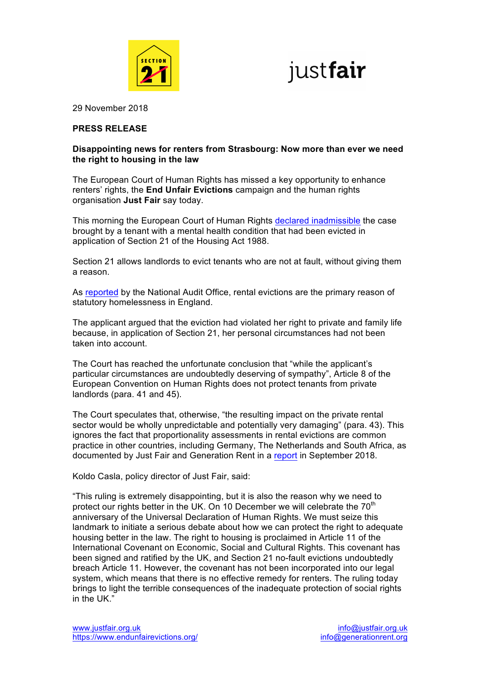



29 November 2018

### **PRESS RELEASE**

## **Disappointing news for renters from Strasbourg: Now more than ever we need the right to housing in the law**

The European Court of Human Rights has missed a key opportunity to enhance renters' rights, the **End Unfair Evictions** campaign and the human rights organisation **Just Fair** say today.

This morning the European Court of Human Rights declared inadmissible the case brought by a tenant with a mental health condition that had been evicted in application of Section 21 of the Housing Act 1988.

Section 21 allows landlords to evict tenants who are not at fault, without giving them a reason.

As reported by the National Audit Office, rental evictions are the primary reason of statutory homelessness in England.

The applicant argued that the eviction had violated her right to private and family life because, in application of Section 21, her personal circumstances had not been taken into account.

The Court has reached the unfortunate conclusion that "while the applicant's particular circumstances are undoubtedly deserving of sympathy", Article 8 of the European Convention on Human Rights does not protect tenants from private landlords (para. 41 and 45).

The Court speculates that, otherwise, "the resulting impact on the private rental sector would be wholly unpredictable and potentially very damaging" (para. 43). This ignores the fact that proportionality assessments in rental evictions are common practice in other countries, including Germany, The Netherlands and South Africa, as documented by Just Fair and Generation Rent in a report in September 2018.

Koldo Casla, policy director of Just Fair, said:

"This ruling is extremely disappointing, but it is also the reason why we need to protect our rights better in the UK. On 10 December we will celebrate the  $70<sup>th</sup>$ anniversary of the Universal Declaration of Human Rights. We must seize this landmark to initiate a serious debate about how we can protect the right to adequate housing better in the law. The right to housing is proclaimed in Article 11 of the International Covenant on Economic, Social and Cultural Rights. This covenant has been signed and ratified by the UK, and Section 21 no-fault evictions undoubtedly breach Article 11. However, the covenant has not been incorporated into our legal system, which means that there is no effective remedy for renters. The ruling today brings to light the terrible consequences of the inadequate protection of social rights in the UK."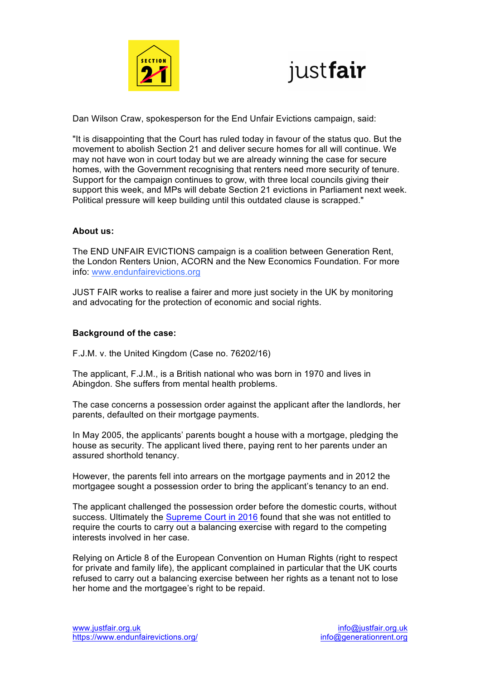



Dan Wilson Craw, spokesperson for the End Unfair Evictions campaign, said:

"It is disappointing that the Court has ruled today in favour of the status quo. But the movement to abolish Section 21 and deliver secure homes for all will continue. We may not have won in court today but we are already winning the case for secure homes, with the Government recognising that renters need more security of tenure. Support for the campaign continues to grow, with three local councils giving their support this week, and MPs will debate Section 21 evictions in Parliament next week. Political pressure will keep building until this outdated clause is scrapped."

## **About us:**

The END UNFAIR EVICTIONS campaign is a coalition between Generation Rent, the London Renters Union, ACORN and the New Economics Foundation. For more info: www.endunfairevictions.org

JUST FAIR works to realise a fairer and more just society in the UK by monitoring and advocating for the protection of economic and social rights.

## **Background of the case:**

F.J.M. v. the United Kingdom (Case no. 76202/16)

The applicant, F.J.M., is a British national who was born in 1970 and lives in Abingdon. She suffers from mental health problems.

The case concerns a possession order against the applicant after the landlords, her parents, defaulted on their mortgage payments.

In May 2005, the applicants' parents bought a house with a mortgage, pledging the house as security. The applicant lived there, paying rent to her parents under an assured shorthold tenancy.

However, the parents fell into arrears on the mortgage payments and in 2012 the mortgagee sought a possession order to bring the applicant's tenancy to an end.

The applicant challenged the possession order before the domestic courts, without success. Ultimately the Supreme Court in 2016 found that she was not entitled to require the courts to carry out a balancing exercise with regard to the competing interests involved in her case.

Relying on Article 8 of the European Convention on Human Rights (right to respect for private and family life), the applicant complained in particular that the UK courts refused to carry out a balancing exercise between her rights as a tenant not to lose her home and the mortgagee's right to be repaid.